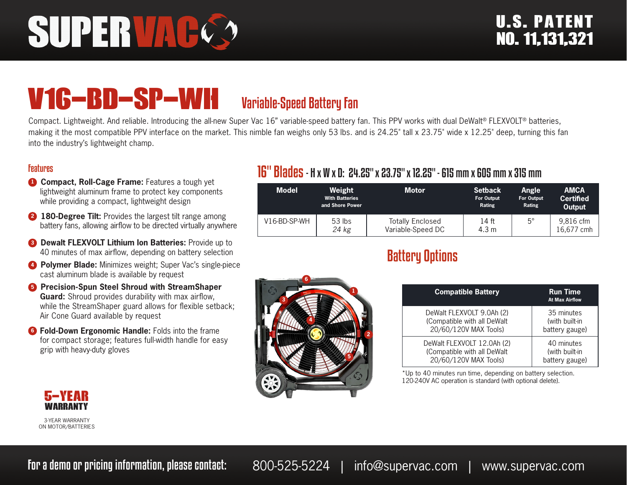# SUPERVAC

# V16-BD-SP-WH Variable-Speed Battery Fan

Compact. Lightweight. And reliable. Introducing the all-new Super Vac 16" variable-speed battery fan. This PPV works with dual DeWalt® FLEXVOLT® batteries, making it the most compatible PPV interface on the market. This nimble fan weighs only 53 lbs. and is 24.25" tall x 23.75" wide x 12.25" deep, turning this fan into the industry's lightweight champ.

#### Features

- **1 Compact, Roll-Cage Frame:** Features a tough yet lightweight aluminum frame to protect key components while providing a compact, lightweight design
- **2 180-Degree Tilt:** Provides the largest tilt range among battery fans, allowing airflow to be directed virtually anywhere
- **8 Dewalt FLEXVOLT Lithium Ion Batteries:** Provide up to 40 minutes of max airflow, depending on battery selection
- **4 Polymer Blade:** Minimizes weight; Super Vac's single-piece cast aluminum blade is available by request
- **6** Precision-Spun Steel Shroud with StreamShaper **Guard:** Shroud provides durability with max airflow, while the StreamShaper guard allows for flexible setback; Air Cone Guard available by request
- **<sup>6</sup> Fold-Down Ergonomic Handle:** Folds into the frame for compact storage; features full-width handle for easy grip with heavy-duty gloves

### 16" Blades- H x W x D: 24.25" x 23.75" x 12.25" - 615 mm x 605 mm x 315 mm

| <b>Model</b> | Weight<br><b>With Batteries</b><br>and Shore Power | <b>Motor</b>                                 | <b>Setback</b><br>For Output<br>Rating | Angle<br><b>For Output</b><br>Rating | <b>AMCA</b><br><b>Certified</b><br>Output |
|--------------|----------------------------------------------------|----------------------------------------------|----------------------------------------|--------------------------------------|-------------------------------------------|
| V16-BD-SP-WH | $53$ lbs<br>24 kg                                  | <b>Totally Enclosed</b><br>Variable-Speed DC | 14 <sub>ft</sub><br>4.3 m              | $5^{\circ}$                          | 9.816 cfm<br>16.677 cmh                   |

Battery Options

## **1 2 3 4 5 6**

| <b>Compatible Battery</b>   | <b>Run Time</b><br><b>At Max Airflow</b> |
|-----------------------------|------------------------------------------|
| DeWalt FLEXVOLT 9.0Ah (2)   | 35 minutes                               |
| (Compatible with all DeWalt | (with built-in                           |
| 20/60/120V MAX Tools)       | battery gauge)                           |
| DeWalt FLEXVOLT 12.0Ah (2)  | 40 minutes                               |
| (Compatible with all DeWalt | (with built-in                           |
| 20/60/120V MAX Tools)       | battery gauge)                           |

\*Up to 40 minutes run time, depending on battery selection. 120-240V AC operation is standard (with optional delete).



3-YEAR WARRANTY ON MOTOR/BATTERIES